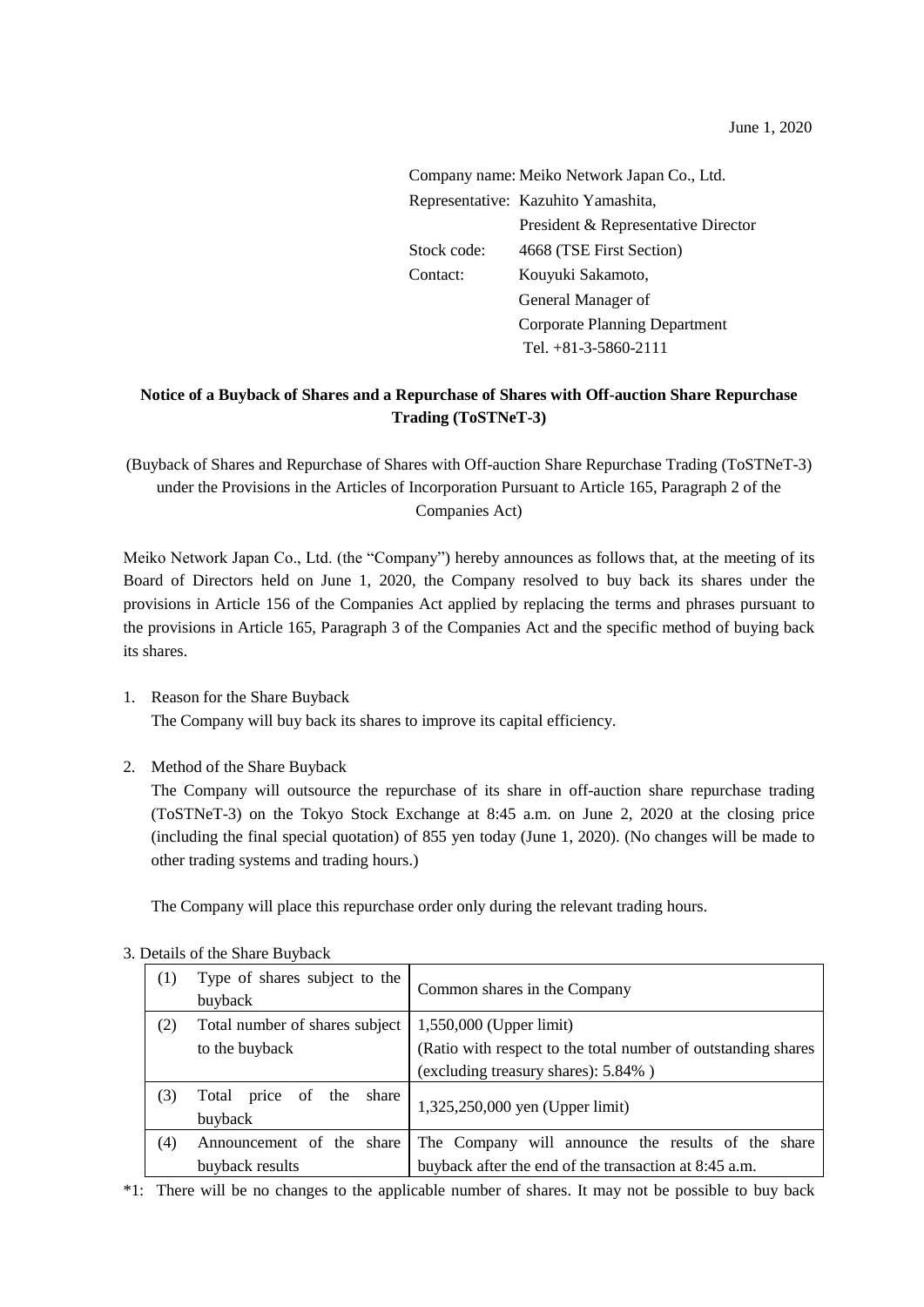|                               | Company name: Meiko Network Japan Co., Ltd. |  |
|-------------------------------|---------------------------------------------|--|
|                               | Representative: Kazuhito Yamashita,         |  |
|                               | President & Representative Director         |  |
| Stock code:                   | 4668 (TSE First Section)                    |  |
| Kouyuki Sakamoto,<br>Contact: |                                             |  |
|                               | General Manager of                          |  |
|                               | Corporate Planning Department               |  |
|                               | Tel. $+81-3-5860-2111$                      |  |

## **Notice of a Buyback of Shares and a Repurchase of Shares with Off-auction Share Repurchase Trading (ToSTNeT-3)**

(Buyback of Shares and Repurchase of Shares with Off-auction Share Repurchase Trading (ToSTNeT-3) under the Provisions in the Articles of Incorporation Pursuant to Article 165, Paragraph 2 of the Companies Act)

Meiko Network Japan Co., Ltd. (the "Company") hereby announces as follows that, at the meeting of its Board of Directors held on June 1, 2020, the Company resolved to buy back its shares under the provisions in Article 156 of the Companies Act applied by replacing the terms and phrases pursuant to the provisions in Article 165, Paragraph 3 of the Companies Act and the specific method of buying back its shares.

- 1. Reason for the Share Buyback The Company will buy back its shares to improve its capital efficiency.
- 2. Method of the Share Buyback

The Company will outsource the repurchase of its share in off-auction share repurchase trading (ToSTNeT-3) on the Tokyo Stock Exchange at 8:45 a.m. on June 2, 2020 at the closing price (including the final special quotation) of 855 yen today (June 1, 2020). (No changes will be made to other trading systems and trading hours.)

The Company will place this repurchase order only during the relevant trading hours.

| (1) | Type of shares subject to the<br>buyback     | Common shares in the Company                                  |
|-----|----------------------------------------------|---------------------------------------------------------------|
| (2) | Total number of shares subject               | $1,550,000$ (Upper limit)                                     |
|     | to the buyback                               | (Ratio with respect to the total number of outstanding shares |
|     |                                              | (excluding treasury shares): 5.84%)                           |
| (3) | share<br>of the<br>Total<br>price<br>buyback | 1,325,250,000 yen (Upper limit)                               |
| (4) | Announcement of the share                    | The Company will announce the results of the share            |
|     | buyback results                              | buyback after the end of the transaction at 8:45 a.m.         |

## 3. Details of the Share Buyback

\*1: There will be no changes to the applicable number of shares. It may not be possible to buy back